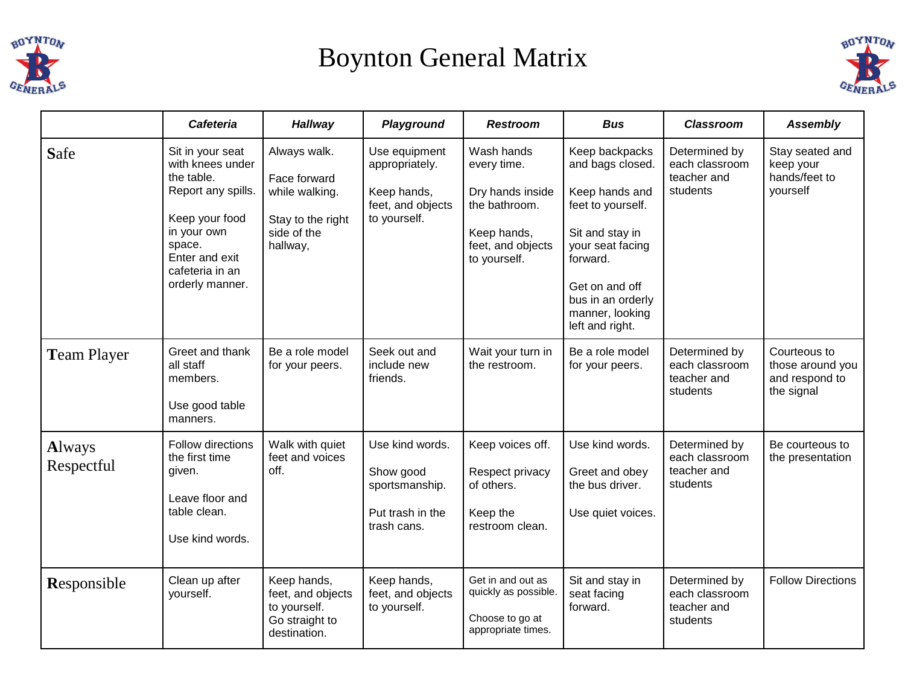

## Boynton General Matrix



|                             | <b>Cafeteria</b>                                                                                                                                                            | <b>Hallway</b>                                                                                 | Playground                                                                          | <b>Restroom</b>                                                                                                    | <b>Bus</b>                                                                                                                                                                                                | <b>Classroom</b>                                           | <b>Assembly</b>                                                  |
|-----------------------------|-----------------------------------------------------------------------------------------------------------------------------------------------------------------------------|------------------------------------------------------------------------------------------------|-------------------------------------------------------------------------------------|--------------------------------------------------------------------------------------------------------------------|-----------------------------------------------------------------------------------------------------------------------------------------------------------------------------------------------------------|------------------------------------------------------------|------------------------------------------------------------------|
| Safe                        | Sit in your seat<br>with knees under<br>the table.<br>Report any spills.<br>Keep your food<br>in your own<br>space.<br>Enter and exit<br>cafeteria in an<br>orderly manner. | Always walk.<br>Face forward<br>while walking.<br>Stay to the right<br>side of the<br>hallway, | Use equipment<br>appropriately.<br>Keep hands,<br>feet, and objects<br>to yourself. | Wash hands<br>every time.<br>Dry hands inside<br>the bathroom.<br>Keep hands,<br>feet, and objects<br>to yourself. | Keep backpacks<br>and bags closed.<br>Keep hands and<br>feet to yourself.<br>Sit and stay in<br>your seat facing<br>forward.<br>Get on and off<br>bus in an orderly<br>manner, looking<br>left and right. | Determined by<br>each classroom<br>teacher and<br>students | Stay seated and<br>keep your<br>hands/feet to<br>yourself        |
| <b>Team Player</b>          | Greet and thank<br>all staff<br>members.<br>Use good table<br>manners.                                                                                                      | Be a role model<br>for your peers.                                                             | Seek out and<br>include new<br>friends.                                             | Wait your turn in<br>the restroom.                                                                                 | Be a role model<br>for your peers.                                                                                                                                                                        | Determined by<br>each classroom<br>teacher and<br>students | Courteous to<br>those around you<br>and respond to<br>the signal |
| <b>Always</b><br>Respectful | <b>Follow directions</b><br>the first time<br>given.<br>Leave floor and<br>table clean.<br>Use kind words.                                                                  | Walk with quiet<br>feet and voices<br>off.                                                     | Use kind words.<br>Show good<br>sportsmanship.<br>Put trash in the<br>trash cans.   | Keep voices off.<br>Respect privacy<br>of others.<br>Keep the<br>restroom clean.                                   | Use kind words.<br>Greet and obey<br>the bus driver.<br>Use quiet voices.                                                                                                                                 | Determined by<br>each classroom<br>teacher and<br>students | Be courteous to<br>the presentation                              |
| Responsible                 | Clean up after<br>yourself.                                                                                                                                                 | Keep hands,<br>feet, and objects<br>to yourself.<br>Go straight to<br>destination.             | Keep hands,<br>feet, and objects<br>to yourself.                                    | Get in and out as<br>quickly as possible.<br>Choose to go at<br>appropriate times.                                 | Sit and stay in<br>seat facing<br>forward.                                                                                                                                                                | Determined by<br>each classroom<br>teacher and<br>students | <b>Follow Directions</b>                                         |